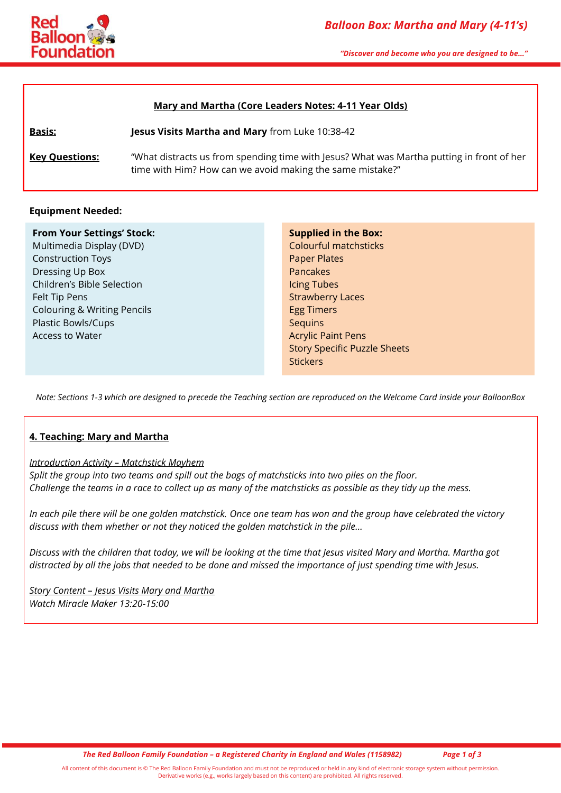

*"Discover and become who you are designed to be…"*

#### **Mary and Martha (Core Leaders Notes: 4-11 Year Olds)**

**Basis: Jesus Visits Martha and Mary** from Luke 10:38-42

**Key Questions:** "What distracts us from spending time with Jesus? What was Martha putting in front of her time with Him? How can we avoid making the same mistake?"

#### **Equipment Needed:**

#### **From Your Settings' Stock:**

Multimedia Display (DVD) Construction Toys Dressing Up Box Children's Bible Selection Felt Tip Pens Colouring & Writing Pencils Plastic Bowls/Cups Access to Water

**Supplied in the Box:** Colourful matchsticks Paper Plates Pancakes Icing Tubes Strawberry Laces Egg Timers **Sequins** Acrylic Paint Pens Story Specific Puzzle Sheets **Stickers** 

*Note: Sections 1-3 which are designed to precede the Teaching section are reproduced on the Welcome Card inside your BalloonBox*

#### **4. Teaching: Mary and Martha**

#### *Introduction Activity – Matchstick Mayhem*

*Split the group into two teams and spill out the bags of matchsticks into two piles on the floor. Challenge the teams in a race to collect up as many of the matchsticks as possible as they tidy up the mess.*

*In each pile there will be one golden matchstick. Once one team has won and the group have celebrated the victory discuss with them whether or not they noticed the golden matchstick in the pile…*

*Discuss with the children that today, we will be looking at the time that Jesus visited Mary and Martha. Martha got distracted by all the jobs that needed to be done and missed the importance of just spending time with Jesus.*

*Story Content – Jesus Visits Mary and Martha Watch Miracle Maker 13:20-15:00*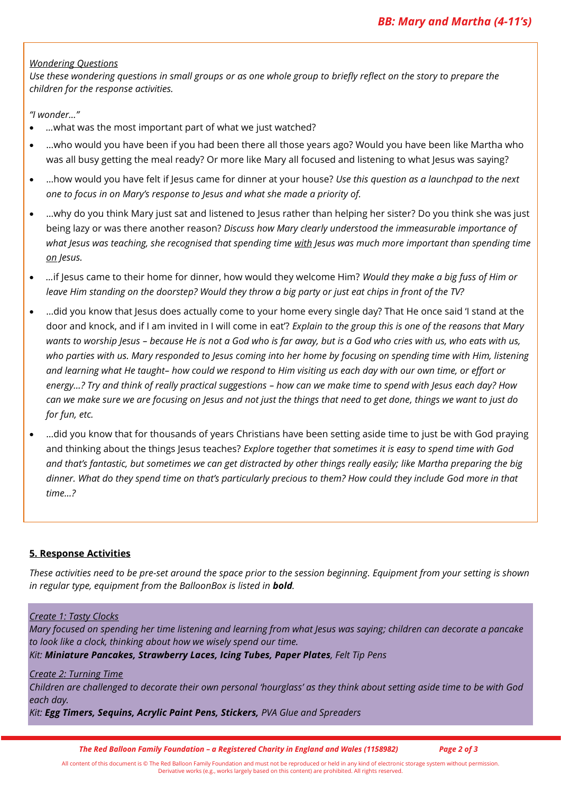### *Wondering Questions*

*Use these wondering questions in small groups or as one whole group to briefly reflect on the story to prepare the children for the response activities.*

*"I wonder…"*

- *…*what was the most important part of what we just watched?
- …who would you have been if you had been there all those years ago? Would you have been like Martha who was all busy getting the meal ready? Or more like Mary all focused and listening to what Jesus was saying?
- …how would you have felt if Jesus came for dinner at your house? *Use this question as a launchpad to the next one to focus in on Mary's response to Jesus and what she made a priority of.*
- …why do you think Mary just sat and listened to Jesus rather than helping her sister? Do you think she was just being lazy or was there another reason? *Discuss how Mary clearly understood the immeasurable importance of*  what *Jesus was teaching, she recognised that spending time with <i>Jesus was much more important than spending time on Jesus.*
- *…*if Jesus came to their home for dinner, how would they welcome Him? *Would they make a big fuss of Him or leave Him standing on the doorstep? Would they throw a big party or just eat chips in front of the TV?*
- …did you know that Jesus does actually come to your home every single day? That He once said 'I stand at the door and knock, and if I am invited in I will come in eat'? *Explain to the group this is one of the reasons that Mary wants to worship Jesus – because He is not a God who is far away, but is a God who cries with us, who eats with us, who parties with us. Mary responded to Jesus coming into her home by focusing on spending time with Him, listening and learning what He taught– how could we respond to Him visiting us each day with our own time, or effort or energy…? Try and think of really practical suggestions – how can we make time to spend with Jesus each day? How can we make sure we are focusing on Jesus and not just the things that need to get done, things we want to just do for fun, etc.*
- …did you know that for thousands of years Christians have been setting aside time to just be with God praying and thinking about the things Jesus teaches? *Explore together that sometimes it is easy to spend time with God and that's fantastic, but sometimes we can get distracted by other things really easily; like Martha preparing the big dinner. What do they spend time on that's particularly precious to them? How could they include God more in that time…?*

# **5. Response Activities**

*These activities need to be pre-set around the space prior to the session beginning. Equipment from your setting is shown in regular type, equipment from the BalloonBox is listed in bold.*

#### *Create 1: Tasty Clocks*

*Mary focused on spending her time listening and learning from what Jesus was saying; children can decorate a pancake to look like a clock, thinking about how we wisely spend our time.*

*Kit: Miniature Pancakes, Strawberry Laces, Icing Tubes, Paper Plates, Felt Tip Pens*

#### *Create 2: Turning Time*

*Children are challenged to decorate their own personal 'hourglass' as they think about setting aside time to be with God each day.*

*Kit: Egg Timers, Sequins, Acrylic Paint Pens, Stickers, PVA Glue and Spreaders*

*The Red Balloon Family Foundation – a Registered Charity in England and Wales (1158982) Page 2 of 3*

All content of this document is © The Red Balloon Family Foundation and must not be reproduced or held in any kind of electronic storage system without permission. Derivative works (e.g., works largely based on this content) are prohibited. All rights reserved.